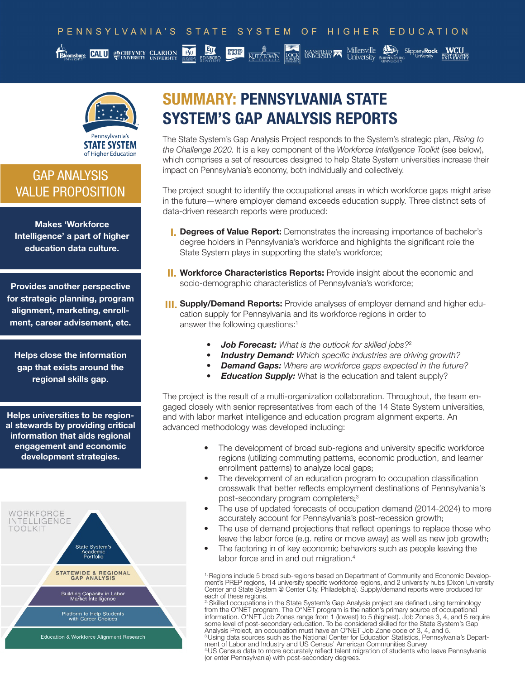

### GAP ANALYSIS VALUE PROPOSITION

Makes 'Workforce Intelligence' a part of higher education data culture.

Provides another perspective for strategic planning, program alignment, marketing, enrollment, career advisement, etc.

Helps close the information gap that exists around the regional skills gap.

Helps universities to be regional stewards by providing critical information that aids regional engagement and economic development strategies.



## SUMMARY: PENNSYLVANIA STATE SYSTEM'S GAP ANALYSIS REPORTS

The State System's Gap Analysis Project responds to the System's strategic plan, *Rising to the Challenge 2020.* It is a key component of the *Workforce Intelligence Toolkit* (see below), which comprises a set of resources designed to help State System universities increase their impact on Pennsylvania's economy, both individually and collectively.

The project sought to identify the occupational areas in which workforce gaps might arise in the future—where employer demand exceeds education supply. Three distinct sets of data-driven research reports were produced:

- **I. Degrees of Value Report:** Demonstrates the increasing importance of bachelor's degree holders in Pennsylvania's workforce and highlights the significant role the State System plays in supporting the state's workforce;
- **II. Workforce Characteristics Reports:** Provide insight about the economic and socio-demographic characteristics of Pennsylvania's workforce;
- **III. Supply/Demand Reports:** Provide analyses of employer demand and higher education supply for Pennsylvania and its workforce regions in order to answer the following questions:1
	- *• Job Forecast: What is the outlook for skilled jobs?*<sup>2</sup>
	- *• Industry Demand: Which specific industries are driving growth?*
	- *• Demand Gaps: Where are workforce gaps expected in the future?*
	- *Education Supply:* What is the education and talent supply?

The project is the result of a multi-organization collaboration. Throughout, the team engaged closely with senior representatives from each of the 14 State System universities, and with labor market intelligence and education program alignment experts. An advanced methodology was developed including:

- The development of broad sub-regions and university specific workforce regions (utilizing commuting patterns, economic production, and learner enrollment patterns) to analyze local gaps;
- The development of an education program to occupation classification crosswalk that better reflects employment destinations of Pennsylvania's post-secondary program completers; 3
- The use of updated forecasts of occupation demand (2014-2024) to more accurately account for Pennsylvania's post-recession growth;
- The use of demand projections that reflect openings to replace those who leave the labor force (e.g. retire or move away) as well as new job growth;
- The factoring in of key economic behaviors such as people leaving the labor force and in and out migration.<sup>4</sup>

1. Regions include 5 broad sub-regions based on Department of Community and Economic Development's PREP regions, 14 university specific workforce regions, and 2 university hubs (Dixon University Center and State System @ Center City, Philadelphia). Supply/demand reports were produced for each of these regions.

 $^2$  Skilled occupations in the State System's Gap Analysis project are defined using terminology from the O\*NET program. The O\*NET program is the nation's primary source of occupational information. O\*NET Job Zones range from 1 (lowest) to 5 (highest). Job Zones 3, 4, and 5 require some level of post-secondary education. To be considered skilled for the State System's Gap Analysis Project, an occupation must have an O\*NET Job Zone code of 3, 4, and 5. <sup>3</sup>.Using data sources such as the National Center for Education Statistics, Pennsylvania's Department of Labor and Industry and US Census' American Communities Survey 4.US Census data to more accurately reflect talent migration of students who leave Pennsylvania (or enter Pennsylvania) with post-secondary degrees.